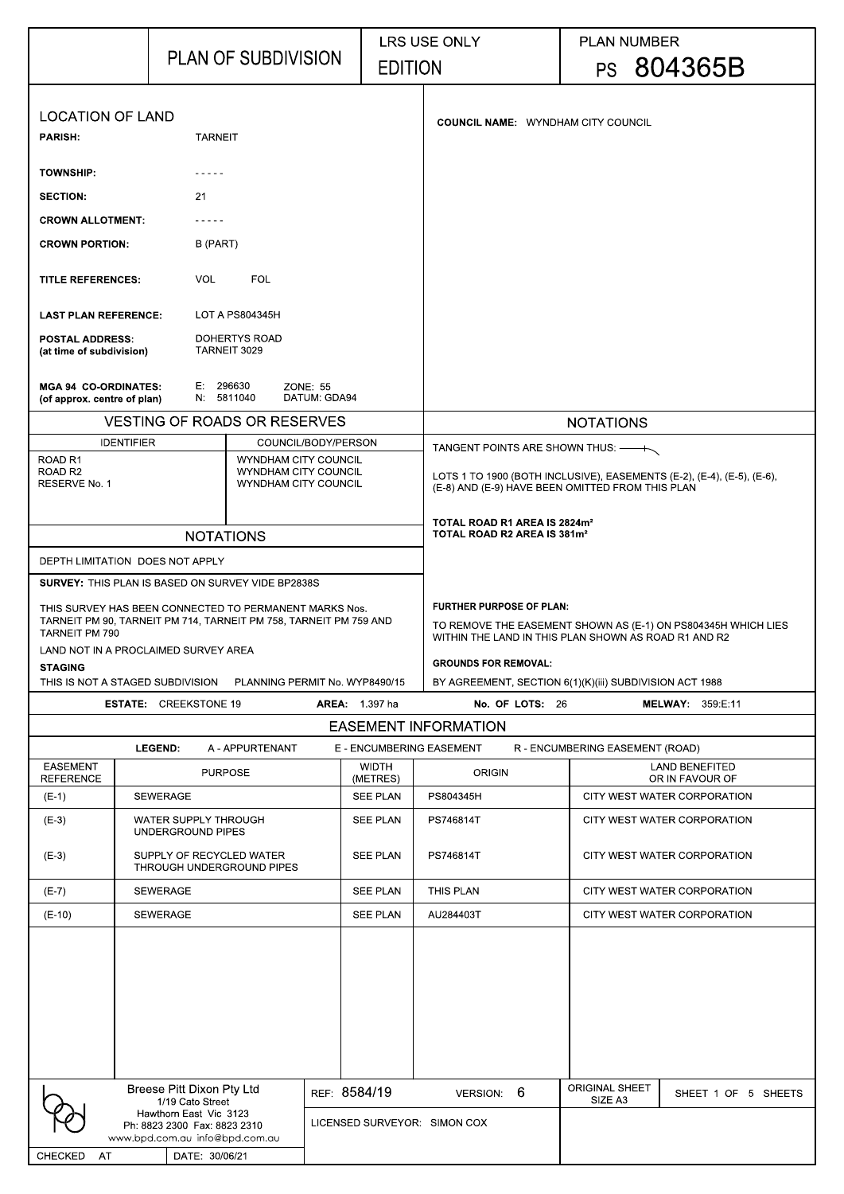|                                                                                                                                                                                                                | <b>PLAN OF SUBDIVISION</b>                               |                                                            | <b>LRS USE ONLY</b><br><b>EDITION</b>                                                                                                                                                                                                              |                                                                                                                            | <b>PLAN NUMBER</b><br>PS 804365B |                                          |  |
|----------------------------------------------------------------------------------------------------------------------------------------------------------------------------------------------------------------|----------------------------------------------------------|------------------------------------------------------------|----------------------------------------------------------------------------------------------------------------------------------------------------------------------------------------------------------------------------------------------------|----------------------------------------------------------------------------------------------------------------------------|----------------------------------|------------------------------------------|--|
| <b>LOCATION OF LAND</b><br><b>PARISH:</b><br><b>TARNEIT</b>                                                                                                                                                    |                                                          |                                                            |                                                                                                                                                                                                                                                    | <b>COUNCIL NAME: WYNDHAM CITY COUNCIL</b>                                                                                  |                                  |                                          |  |
| <b>TOWNSHIP:</b>                                                                                                                                                                                               |                                                          |                                                            |                                                                                                                                                                                                                                                    |                                                                                                                            |                                  |                                          |  |
| <b>SECTION:</b>                                                                                                                                                                                                | 21                                                       |                                                            |                                                                                                                                                                                                                                                    |                                                                                                                            |                                  |                                          |  |
| <b>CROWN ALLOTMENT:</b>                                                                                                                                                                                        |                                                          |                                                            |                                                                                                                                                                                                                                                    |                                                                                                                            |                                  |                                          |  |
| <b>CROWN PORTION:</b>                                                                                                                                                                                          | B (PART)                                                 |                                                            |                                                                                                                                                                                                                                                    |                                                                                                                            |                                  |                                          |  |
| <b>TITLE REFERENCES:</b>                                                                                                                                                                                       | <b>FOL</b><br><b>VOL</b>                                 |                                                            |                                                                                                                                                                                                                                                    |                                                                                                                            |                                  |                                          |  |
| <b>LAST PLAN REFERENCE:</b>                                                                                                                                                                                    | <b>LOT A PS804345H</b>                                   |                                                            |                                                                                                                                                                                                                                                    |                                                                                                                            |                                  |                                          |  |
| <b>POSTAL ADDRESS:</b><br>(at time of subdivision)                                                                                                                                                             | <b>DOHERTYS ROAD</b><br>TARNEIT 3029                     |                                                            |                                                                                                                                                                                                                                                    |                                                                                                                            |                                  |                                          |  |
| <b>MGA 94 CO-ORDINATES:</b><br>(of approx. centre of plan)                                                                                                                                                     | E: 296630<br><b>ZONE: 55</b><br>N 5811040<br>DATUM GDA94 |                                                            |                                                                                                                                                                                                                                                    |                                                                                                                            |                                  |                                          |  |
|                                                                                                                                                                                                                | <b>VESTING OF ROADS OR RESERVES</b>                      |                                                            |                                                                                                                                                                                                                                                    |                                                                                                                            | <b>NOTATIONS</b>                 |                                          |  |
| <b>IDENTIFIER</b><br>ROAD <sub>R1</sub>                                                                                                                                                                        |                                                          | COUNCIL/BODY/PERSON<br>WYNDHAM CITY COUNCIL                |                                                                                                                                                                                                                                                    | TANGENT POINTS ARE SHOWN THUS: —                                                                                           |                                  |                                          |  |
| ROAD <sub>R2</sub><br><b>RESERVE No. 1</b>                                                                                                                                                                     |                                                          | <b>WYNDHAM CITY COUNCIL</b><br><b>WYNDHAM CITY COUNCIL</b> |                                                                                                                                                                                                                                                    | LOTS 1 TO 1900 (BOTH INCLUSIVE), EASEMENTS (E-2), (E-4), (E-5), (E-6),<br>(E-8) AND (E-9) HAVE BEEN OMITTED FROM THIS PLAN |                                  |                                          |  |
|                                                                                                                                                                                                                | <b>NOTATIONS</b>                                         |                                                            |                                                                                                                                                                                                                                                    | TOTAL ROAD R1 AREA IS 2824m <sup>2</sup><br>TOTAL ROAD R2 AREA IS 381m <sup>2</sup>                                        |                                  |                                          |  |
| DEPTH LIMITATION DOES NOT APPLY                                                                                                                                                                                |                                                          |                                                            |                                                                                                                                                                                                                                                    |                                                                                                                            |                                  |                                          |  |
| <b>SURVEY: THIS PLAN IS BASED ON SURVEY VIDE BP2838S</b>                                                                                                                                                       |                                                          |                                                            |                                                                                                                                                                                                                                                    |                                                                                                                            |                                  |                                          |  |
| THIS SURVEY HAS BEEN CONNECTED TO PERMANENT MARKS Nos.<br>TARNEIT PM 90, TARNEIT PM 714, TARNEIT PM 758, TARNEIT PM 759 AND<br><b>TARNEIT PM 790</b><br>LAND NOT IN A PROCLAIMED SURVEY AREA<br><b>STAGING</b> |                                                          |                                                            | <b>FURTHER PURPOSE OF PLAN:</b><br>TO REMOVE THE EASEMENT SHOWN AS (E-1) ON PS804345H WHICH LIES<br>WITHIN THE LAND IN THIS PLAN SHOWN AS ROAD R1 AND R2<br><b>GROUNDS FOR REMOVAL:</b><br>BY AGREEMENT, SECTION 6(1)(K)(iii) SUBDIVISION ACT 1988 |                                                                                                                            |                                  |                                          |  |
| THIS IS NOT A STAGED SUBDIVISION                                                                                                                                                                               | <b>ESTATE: CREEKSTONE 19</b>                             | PLANNING PERMIT No. WYP8490/15<br><b>AREA:</b> 1.397 ha    |                                                                                                                                                                                                                                                    | No. OF LOTS: 26                                                                                                            | <b>MELWAY: 359 E.11</b>          |                                          |  |
|                                                                                                                                                                                                                |                                                          |                                                            |                                                                                                                                                                                                                                                    | <b>EASEMENT INFORMATION</b>                                                                                                |                                  |                                          |  |
|                                                                                                                                                                                                                | <b>LEGEND:</b><br>A - APPURTENANT                        |                                                            |                                                                                                                                                                                                                                                    | E - ENCUMBERING EASEMENT                                                                                                   | R - ENCUMBERING EASEMENT (ROAD)  |                                          |  |
| <b>EASEMENT</b><br><b>REFERENCE</b>                                                                                                                                                                            | <b>PURPOSE</b>                                           |                                                            | <b>WIDTH</b><br>(METRES)                                                                                                                                                                                                                           | <b>ORIGIN</b>                                                                                                              |                                  | <b>LAND BENEFITED</b><br>OR IN FAVOUR OF |  |
| $(E-1)$                                                                                                                                                                                                        | <b>SEWERAGE</b>                                          |                                                            | <b>SEE PLAN</b>                                                                                                                                                                                                                                    | PS804345H                                                                                                                  |                                  | CITY WEST WATER CORPORATION              |  |
| $(E-3)$                                                                                                                                                                                                        | <b>WATER SUPPLY THROUGH</b><br>UNDERGROUND PIPES         |                                                            | <b>SEE PLAN</b>                                                                                                                                                                                                                                    | PS746814T                                                                                                                  |                                  | CITY WEST WATER CORPORATION              |  |
| $(E-3)$                                                                                                                                                                                                        | SUPPLY OF RECYCLED WATER<br>THROUGH UNDERGROUND PIPES    |                                                            | <b>SEE PLAN</b>                                                                                                                                                                                                                                    | PS746814T                                                                                                                  | CITY WEST WATER CORPORATION      |                                          |  |
| $(E-7)$                                                                                                                                                                                                        | <b>SEWERAGE</b>                                          |                                                            | <b>SEE PLAN</b>                                                                                                                                                                                                                                    | THIS PLAN                                                                                                                  |                                  | CITY WEST WATER CORPORATION              |  |
| $(E-10)$                                                                                                                                                                                                       | <b>SEWERAGE</b>                                          |                                                            | <b>SEE PLAN</b>                                                                                                                                                                                                                                    | AU284403T                                                                                                                  |                                  | CITY WEST WATER CORPORATION              |  |
|                                                                                                                                                                                                                | <b>Breese Pitt Dixon Pty Ltd</b><br>1/19 Cato Street     | REF: 8584/19                                               |                                                                                                                                                                                                                                                    | VERSION: 6                                                                                                                 | <b>ORIGINAL SHEET</b><br>SIZE A3 | SHEET 1 OF 5 SHEETS                      |  |
| Hawthorn East Vic 3123<br>Ph: 8823 2300 Fax: 8823 2310<br>www.bpd.com.au info@bpd.com.au<br>CHECKED<br>AT<br>DATE 30/06/21                                                                                     |                                                          |                                                            | LICENSED SURVEYOR: SIMON COX                                                                                                                                                                                                                       |                                                                                                                            |                                  |                                          |  |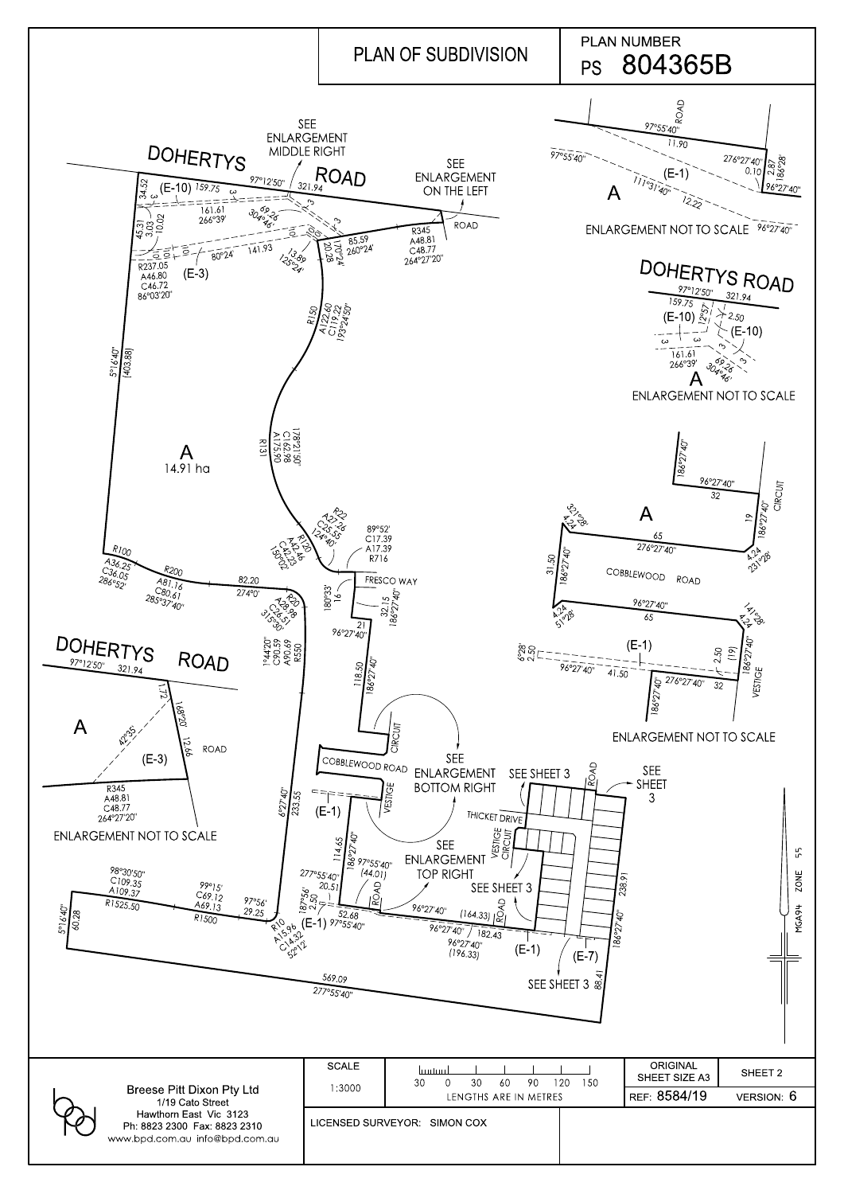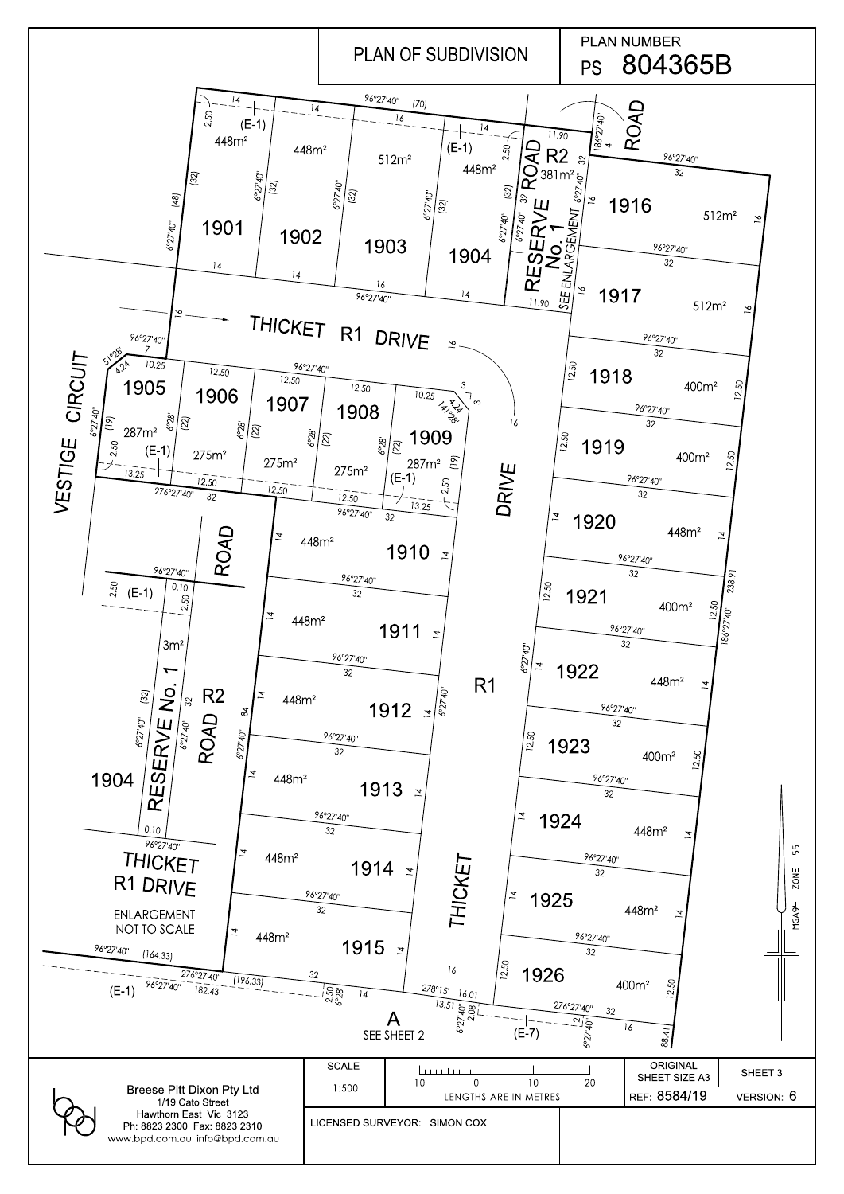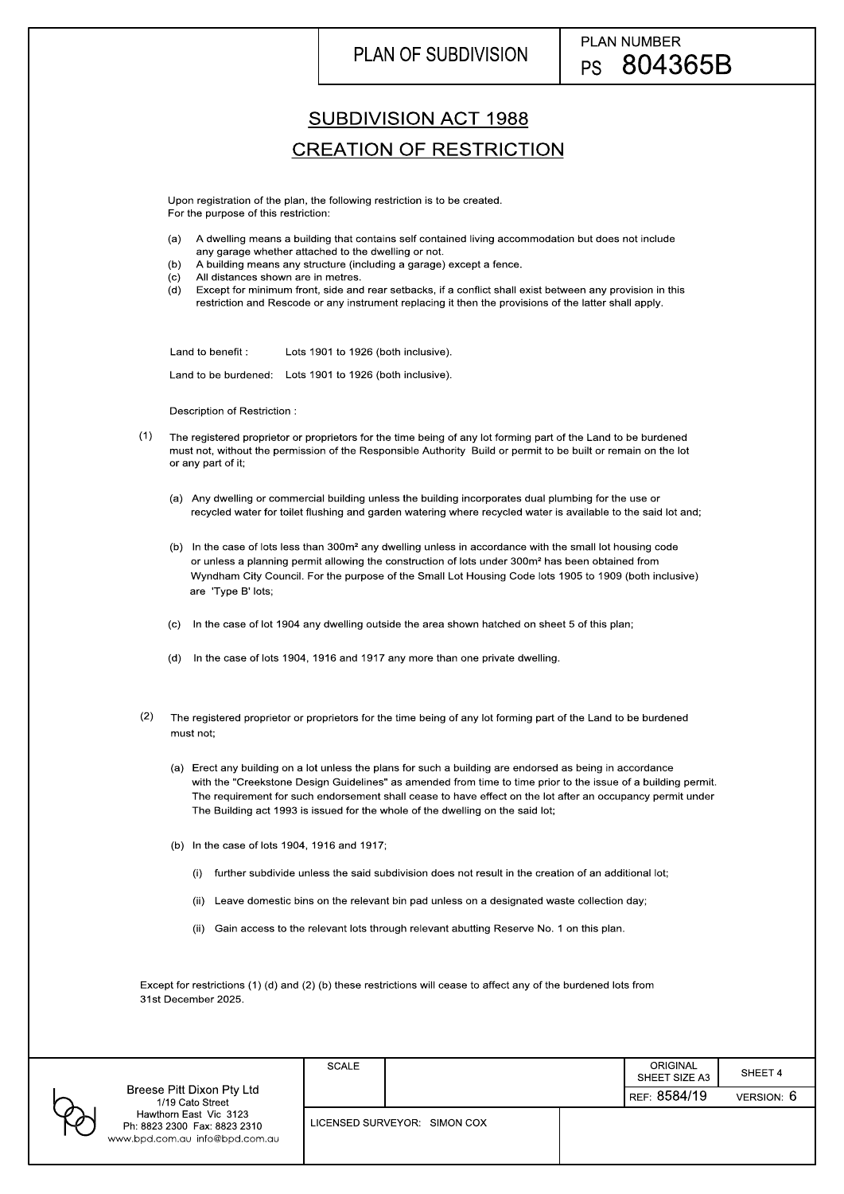|                                                                                                   | SCALE                        |  |  | <b>ORIGINAL</b><br>SHEET SIZE A3 | SHEET 4   |
|---------------------------------------------------------------------------------------------------|------------------------------|--|--|----------------------------------|-----------|
| Breese Pitt Dixon Pty Ltd<br>1/19 Cato Street                                                     |                              |  |  | REF 8584/19                      | VERSION 6 |
| Hawthorn East Vic 3123<br>$\wp$<br>Ph: 8823 2300 Fax: 8823 2310<br>www.bpd.com.au info@bpd.com.au | LICENSED SURVEYOR: SIMON COX |  |  |                                  |           |

## PLAN OF SUBDIVISION

Description of Restriction :

Lots 1901 to 1926 (both inclusive). Land to benefit

Land to be burdened: Lots 1901 to 1926 (both inclusive).

- any garage whether attached to the dwelling or not. (a) A dwelling means a building that contains self contained living accommodation but does not include
- (b) A building means any structure (in (c) All distances shown are in metres. A building means any structure (including a garage) except a fence.
- 
- restriction and Rescode or any instrument replacing it then the provisions of the latter shall apply. (c) All distances shown are in metres.<br>(d) Except for minimum front, side and rear setbacks, if a conflict shall exist between any provision in this

## SUBDIVISION ACT 1988

## CREATION OF RESTRICTION

- (1) The registered proprietor or proprietors for the time being of any lot forming part of the Land to be burdened must not, without the permission of the Responsible Authority Build or permit to be built or remain on the lot or any part of it;
	- (a) Any dwelling or commercial building unless the building incorporates dual plumbing for the use or recycled water for toilet flushing and garden watering where recycled water is available to the said lot and;
	- (b) In the case of lots less than 300m² any dwelling unless in accordance with the small lot housing code or unless a planning permit allowing the construction of lots under 300m² has been obtained from Wyndham City Council. For the purpose of the Small Lot Housing Code lots 1905 to 1909 (both inclusive) are 'Type B' lots;
	- (c) In the case of lot 1904 any dwelling outside the area shown hatched on sheet 5 of this plan;
	- (d) In the case of lots 1904, 1916 and 1917 any more than one private dwelling.
- (2) The registered proprietor or proprietors for the time being of any lot forming part of the Land to be burdened must not;
	- The Building act 1993 is issued for the whole of the dwelling on the said lot; (a) Erect any building on a lot unless the plans for such a building are endorsed as being in accordance with the "Creekstone Design Guidelines" as amended from time to time prior to the issue of a building permit. The requirement for such endorsement shall cease to have effect on the lot after an occupancy permit under
	- (b) In the case of lots 1904, 1916 and 1917;
		- (i) further subdivide unless the said subdivision does not result in the creation of an additional lot;
		- (ii) Leave domestic bins on the relevant bin pad unless on a designated waste collection day;

For the purpose of this restriction: Upon registration of the plan, the following restriction is to be created.

(ii) Gain access to the relevant lots through relevant abutting Reserve No. 1 on this plan.

Except for restrictions (1) (d) and (2) (b) these restrictions will cease to affect any of the burdened lots from 31st December 2025.